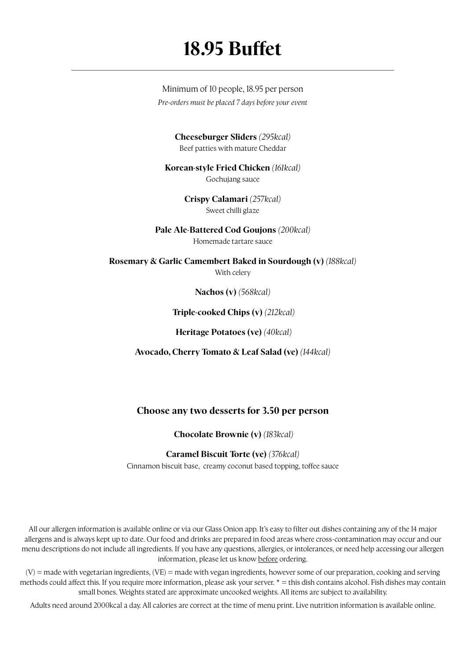## **18.95 Buffet**

Minimum of 10 people, 18.95 per person *Pre-orders must be placed 7 days before your event*

> **Cheeseburger Sliders** *(295kcal)* Beef patties with mature Cheddar

**Korean-style Fried Chicken** *(161kcal)* Gochujang sauce

> **Crispy Calamari** *(257kcal)* Sweet chilli glaze

**Pale Ale-Battered Cod Goujons** *(200kcal)* Homemade tartare sauce

**Rosemary & Garlic Camembert Baked in Sourdough (v)** *(188kcal)* With celery

**Nachos (v)** *(568kcal)*

 **Triple-cooked Chips (v)** *(212kcal)*

 **Heritage Potatoes (ve)** *(40kcal)*

**Avocado, Cherry Tomato & Leaf Salad (ve)** *(144kcal)*

### **Choose any two desserts for 3.50 per person**

 **Chocolate Brownie (v)** *(183kcal)*

#### **Caramel Biscuit Torte (ve)** *(376kcal)*

Cinnamon biscuit base, creamy coconut based topping, toffee sauce

All our allergen information is available online or via our Glass Onion app. It's easy to filter out dishes containing any of the 14 major allergens and is always kept up to date. Our food and drinks are prepared in food areas where cross-contamination may occur and our menu descriptions do not include all ingredients. If you have any questions, allergies, or intolerances, or need help accessing our allergen information, please let us know before ordering.

 $(V)$  = made with vegetarian ingredients,  $(VE)$  = made with vegan ingredients, however some of our preparation, cooking and serving methods could affect this. If you require more information, please ask your server. \* = this dish contains alcohol. Fish dishes may contain small bones. Weights stated are approximate uncooked weights. All items are subject to availability.

Adults need around 2000kcal a day. All calories are correct at the time of menu print. Live nutrition information is available online.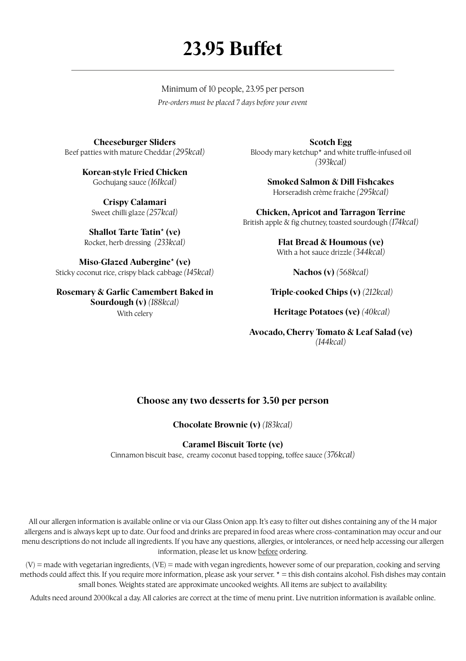# **23.95 Buffet**

Minimum of 10 people, 23.95 per person *Pre-orders must be placed 7 days before your event*

**Cheeseburger Sliders** Beef patties with mature Cheddar *(295kcal)*

> **Korean-style Fried Chicken** Gochujang sauce *(161kcal)*

**Crispy Calamari** Sweet chilli glaze *(257kcal)*

**Shallot Tarte Tatin\* (ve)** Rocket, herb dressing *(233kcal)*

**Miso-Glazed Aubergine\* (ve)**  Sticky coconut rice, crispy black cabbage *(145kcal)*

**Rosemary & Garlic Camembert Baked in Sourdough (v)** *(188kcal)* With celery

**Scotch Egg** Bloody mary ketchup\* and white truffle-infused oil *(393kcal)*

> **Smoked Salmon & Dill Fishcakes** Horseradish crème f raiche *(295kcal)*

**Chicken, Apricot and Tarragon Terrine** British apple & fig chutney, toasted sourdough *(174kcal)* 

> **Flat Bread & Houmous (ve)**  With a hot sauce drizzle *(344kcal)*

> > **Nachos (v)** *(568kcal)*

 **Triple-cooked Chips (v)** *(212kcal)*

 **Heritage Potatoes (ve)** *(40kcal)*

**Avocado, Cherry Tomato & Leaf Salad (ve)**  *(144kcal)*

### **Choose any two desserts for 3.50 per person**

**Chocolate Brownie (v)** *(183kcal)*

#### **Caramel Biscuit Torte (ve)**

Cinnamon biscuit base, creamy coconut based topping, toffee sauce *(376kcal)*

All our allergen information is available online or via our Glass Onion app. It's easy to filter out dishes containing any of the 14 major allergens and is always kept up to date. Our food and drinks are prepared in food areas where cross-contamination may occur and our menu descriptions do not include all ingredients. If you have any questions, allergies, or intolerances, or need help accessing our allergen information, please let us know before ordering.

(V) = made with vegetarian ingredients, (VE) = made with vegan ingredients, however some of our preparation, cooking and serving methods could affect this. If you require more information, please ask your server.  $* =$  this dish contains alcohol. Fish dishes may contain small bones. Weights stated are approximate uncooked weights. All items are subject to availability.

Adults need around 2000kcal a day. All calories are correct at the time of menu print. Live nutrition information is available online.